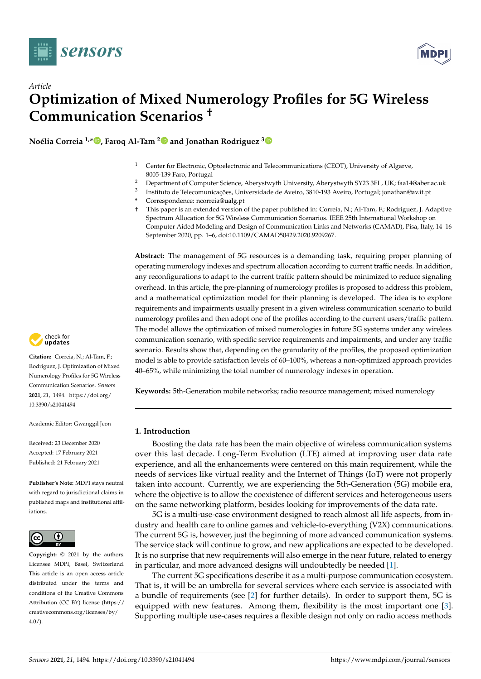

*Article*



# **Optimization of Mixed Numerology Profiles for 5G Wireless Communication Scenarios †**

**Noélia Correia 1,\* [,](https://orcid.org/0000-0001-7051-7193) Faroq Al-Tam [2](https://orcid.org/0000-0001-9718-2039) and Jonathan Rodriguez [3](https://orcid.org/0000-0001-9829-0955)**

- <sup>1</sup> Center for Electronic, Optoelectronic and Telecommunications (CEOT), University of Algarve, 8005-139 Faro, Portugal
- <sup>2</sup> Department of Computer Science, Aberystwyth University, Aberystwyth SY23 3FL, UK; faa14@aber.ac.uk
- 3 Instituto de Telecomunicações, Universidade de Aveiro, 3810-193 Aveiro, Portugal; jonathan@av.it.pt
	- **\*** Correspondence: ncorreia@ualg.pt
	- † This paper is an extended version of the paper published in: Correia, N.; Al-Tam, F.; Rodriguez, J. Adaptive Spectrum Allocation for 5G Wireless Communication Scenarios. IEEE 25th International Workshop on Computer Aided Modeling and Design of Communication Links and Networks (CAMAD), Pisa, Italy, 14–16 September 2020, pp. 1–6, doi:10.1109/CAMAD50429.2020.9209267.

**Abstract:** The management of 5G resources is a demanding task, requiring proper planning of operating numerology indexes and spectrum allocation according to current traffic needs. In addition, any reconfigurations to adapt to the current traffic pattern should be minimized to reduce signaling overhead. In this article, the pre-planning of numerology profiles is proposed to address this problem, and a mathematical optimization model for their planning is developed. The idea is to explore requirements and impairments usually present in a given wireless communication scenario to build numerology profiles and then adopt one of the profiles according to the current users/traffic pattern. The model allows the optimization of mixed numerologies in future 5G systems under any wireless communication scenario, with specific service requirements and impairments, and under any traffic scenario. Results show that, depending on the granularity of the profiles, the proposed optimization model is able to provide satisfaction levels of 60–100%, whereas a non-optimized approach provides 40–65%, while minimizing the total number of numerology indexes in operation.

**Keywords:** 5th-Generation mobile networks; radio resource management; mixed numerology

# **1. Introduction**

Boosting the data rate has been the main objective of wireless communication systems over this last decade. Long-Term Evolution (LTE) aimed at improving user data rate experience, and all the enhancements were centered on this main requirement, while the needs of services like virtual reality and the Internet of Things (IoT) were not properly taken into account. Currently, we are experiencing the 5th-Generation (5G) mobile era, where the objective is to allow the coexistence of different services and heterogeneous users on the same networking platform, besides looking for improvements of the data rate.

5G is a multi-use-case environment designed to reach almost all life aspects, from industry and health care to online games and vehicle-to-everything (V2X) communications. The current 5G is, however, just the beginning of more advanced communication systems. The service stack will continue to grow, and new applications are expected to be developed. It is no surprise that new requirements will also emerge in the near future, related to energy in particular, and more advanced designs will undoubtedly be needed [\[1\]](#page-20-0).

The current 5G specifications describe it as a multi-purpose communication ecosystem. That is, it will be an umbrella for several services where each service is associated with a bundle of requirements (see [\[2\]](#page-20-1) for further details). In order to support them, 5G is equipped with new features. Among them, flexibility is the most important one [\[3\]](#page-20-2). Supporting multiple use-cases requires a flexible design not only on radio access methods



**Citation:** Correia, N.; Al-Tam, F.; Rodriguez, J. Optimization of Mixed Numerology Profiles for 5G Wireless Communication Scenarios. *Sensors* **2021**, *21*, 1494. [https://doi.org/](https://doi.org/10.3390/s21041494) [10.3390/s21041494](https://doi.org/10.3390/s21041494)

Academic Editor: Gwanggil Jeon

Received: 23 December 2020 Accepted: 17 February 2021 Published: 21 February 2021

**Publisher's Note:** MDPI stays neutral with regard to jurisdictional claims in published maps and institutional affiliations.



**Copyright:** © 2021 by the authors. Licensee MDPI, Basel, Switzerland. This article is an open access article distributed under the terms and conditions of the Creative Commons Attribution (CC BY) license (https:/[/](https://creativecommons.org/licenses/by/4.0/) [creativecommons.org/licenses/by/](https://creativecommons.org/licenses/by/4.0/)  $4.0/$ ).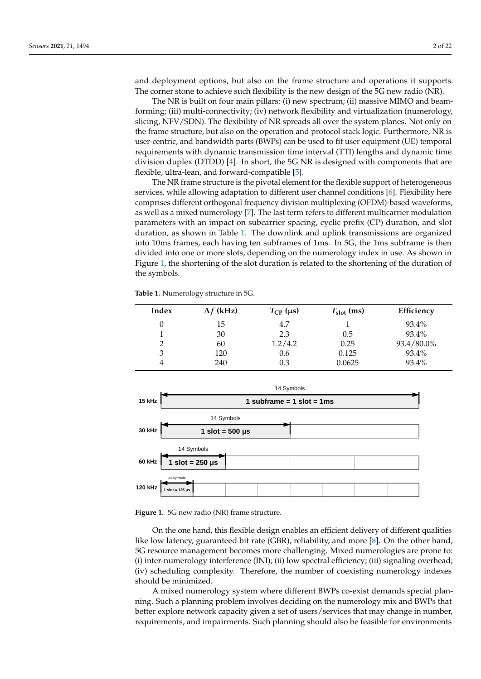and deployment options, but also on the frame structure and operations it supports. The corner stone to achieve such flexibility is the new design of the 5G new radio (NR).

The NR is built on four main pillars: (i) new spectrum; (ii) massive MIMO and beamforming; (iii) multi-connectivity; (iv) network flexibility and virtualization (numerology, slicing, NFV/SDN). The flexibility of NR spreads all over the system planes. Not only on the frame structure, but also on the operation and protocol stack logic. Furthermore, NR is user-centric, and bandwidth parts (BWPs) can be used to fit user equipment (UE) temporal requirements with dynamic transmission time interval (TTI) lengths and dynamic time division duplex (DTDD) [\[4\]](#page-20-3). In short, the 5G NR is designed with components that are flexible, ultra-lean, and forward-compatible [\[5\]](#page-20-4).

The NR frame structure is the pivotal element for the flexible support of heterogeneous services, while allowing adaptation to different user channel conditions [\[6\]](#page-20-5). Flexibility here comprises different orthogonal frequency division multiplexing (OFDM)-based waveforms, as well as a mixed numerology [\[7\]](#page-20-6). The last term refers to different multicarrier modulation parameters with an impact on subcarrier spacing, cyclic prefix (CP) duration, and slot duration, as shown in Table [1.](#page-1-0) The downlink and uplink transmissions are organized into 10ms frames, each having ten subframes of 1ms. In 5G, the 1ms subframe is then divided into one or more slots, depending on the numerology index in use. As shown in Figure [1,](#page-1-1) the shortening of the slot duration is related to the shortening of the duration of the symbols.

<span id="page-1-0"></span>**Table 1.** Numerology structure in 5G.

| Index | $\Delta f$ (kHz) | $T_{\rm CP}$ (µs) | $T_{slot}$ (ms) | Efficiency |
|-------|------------------|-------------------|-----------------|------------|
|       | 15               | 4.7               |                 | 93.4%      |
|       | 30               | 2.3               | 0.5             | 93.4%      |
|       | 60               | 1.2/4.2           | 0.25            | 93.4/80.0% |
| 3     | 120              | 0.6               | 0.125           | 93.4%      |
|       | 240              | 0.3               | 0.0625          | 93.4%      |

<span id="page-1-1"></span>

**Figure 1.** 5G new radio (NR) frame structure.

On the one hand, this flexible design enables an efficient delivery of different qualities like low latency, guaranteed bit rate (GBR), reliability, and more [\[8\]](#page-20-7). On the other hand, 5G resource management becomes more challenging. Mixed numerologies are prone to: (i) inter-numerology interference (INI); (ii) low spectral efficiency; (iii) signaling overhead; (iv) scheduling complexity. Therefore, the number of coexisting numerology indexes should be minimized.

A mixed numerology system where different BWPs co-exist demands special planning. Such a planning problem involves deciding on the numerology mix and BWPs that better explore network capacity given a set of users/services that may change in number, requirements, and impairments. Such planning should also be feasible for environments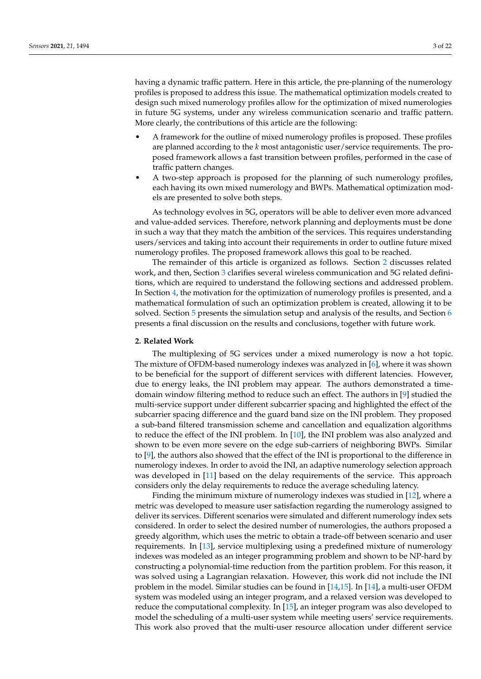having a dynamic traffic pattern. Here in this article, the pre-planning of the numerology profiles is proposed to address this issue. The mathematical optimization models created to design such mixed numerology profiles allow for the optimization of mixed numerologies in future 5G systems, under any wireless communication scenario and traffic pattern. More clearly, the contributions of this article are the following:

- A framework for the outline of mixed numerology profiles is proposed. These profiles are planned according to the *k* most antagonistic user/service requirements. The proposed framework allows a fast transition between profiles, performed in the case of traffic pattern changes.
- A two-step approach is proposed for the planning of such numerology profiles, each having its own mixed numerology and BWPs. Mathematical optimization models are presented to solve both steps.

As technology evolves in 5G, operators will be able to deliver even more advanced and value-added services. Therefore, network planning and deployments must be done in such a way that they match the ambition of the services. This requires understanding users/services and taking into account their requirements in order to outline future mixed numerology profiles. The proposed framework allows this goal to be reached.

The remainder of this article is organized as follows. Section [2](#page-2-0) discusses related work, and then, Section [3](#page-4-0) clarifies several wireless communication and 5G related definitions, which are required to understand the following sections and addressed problem. In Section [4,](#page-8-0) the motivation for the optimization of numerology profiles is presented, and a mathematical formulation of such an optimization problem is created, allowing it to be solved. Section [5](#page-13-0) presents the simulation setup and analysis of the results, and Section [6](#page-19-0) presents a final discussion on the results and conclusions, together with future work.

### <span id="page-2-0"></span>**2. Related Work**

The multiplexing of 5G services under a mixed numerology is now a hot topic. The mixture of OFDM-based numerology indexes was analyzed in [\[6\]](#page-20-5), where it was shown to be beneficial for the support of different services with different latencies. However, due to energy leaks, the INI problem may appear. The authors demonstrated a timedomain window filtering method to reduce such an effect. The authors in [\[9\]](#page-20-8) studied the multi-service support under different subcarrier spacing and highlighted the effect of the subcarrier spacing difference and the guard band size on the INI problem. They proposed a sub-band filtered transmission scheme and cancellation and equalization algorithms to reduce the effect of the INI problem. In [\[10\]](#page-20-9), the INI problem was also analyzed and shown to be even more severe on the edge sub-carriers of neighboring BWPs. Similar to [\[9\]](#page-20-8), the authors also showed that the effect of the INI is proportional to the difference in numerology indexes. In order to avoid the INI, an adaptive numerology selection approach was developed in [\[11\]](#page-20-10) based on the delay requirements of the service. This approach considers only the delay requirements to reduce the average scheduling latency.

Finding the minimum mixture of numerology indexes was studied in [\[12\]](#page-20-11), where a metric was developed to measure user satisfaction regarding the numerology assigned to deliver its services. Different scenarios were simulated and different numerology index sets considered. In order to select the desired number of numerologies, the authors proposed a greedy algorithm, which uses the metric to obtain a trade-off between scenario and user requirements. In [\[13\]](#page-20-12), service multiplexing using a predefined mixture of numerology indexes was modeled as an integer programming problem and shown to be NP-hard by constructing a polynomial-time reduction from the partition problem. For this reason, it was solved using a Lagrangian relaxation. However, this work did not include the INI problem in the model. Similar studies can be found in [\[14,](#page-20-13)[15\]](#page-20-14). In [\[14\]](#page-20-13), a multi-user OFDM system was modeled using an integer program, and a relaxed version was developed to reduce the computational complexity. In [\[15\]](#page-20-14), an integer program was also developed to model the scheduling of a multi-user system while meeting users' service requirements. This work also proved that the multi-user resource allocation under different service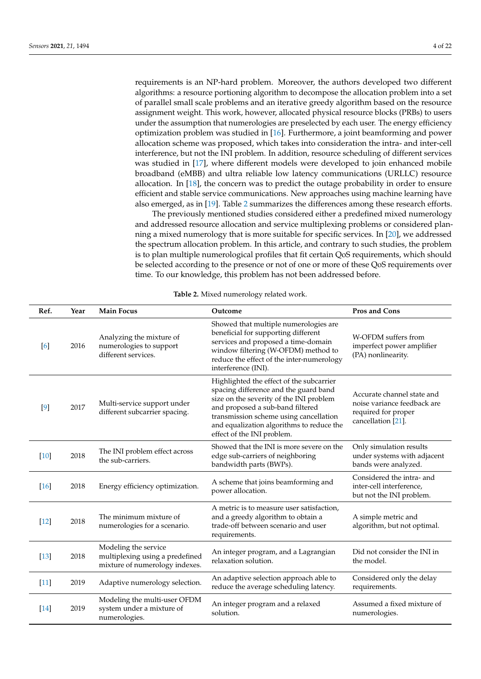requirements is an NP-hard problem. Moreover, the authors developed two different algorithms: a resource portioning algorithm to decompose the allocation problem into a set of parallel small scale problems and an iterative greedy algorithm based on the resource assignment weight. This work, however, allocated physical resource blocks (PRBs) to users under the assumption that numerologies are preselected by each user. The energy efficiency optimization problem was studied in [\[16\]](#page-20-15). Furthermore, a joint beamforming and power allocation scheme was proposed, which takes into consideration the intra- and inter-cell interference, but not the INI problem. In addition, resource scheduling of different services was studied in [\[17\]](#page-20-16), where different models were developed to join enhanced mobile broadband (eMBB) and ultra reliable low latency communications (URLLC) resource allocation. In [\[18\]](#page-20-17), the concern was to predict the outage probability in order to ensure efficient and stable service communications. New approaches using machine learning have also emerged, as in [\[19\]](#page-20-18). Table [2](#page-4-1) summarizes the differences among these research efforts.

The previously mentioned studies considered either a predefined mixed numerology and addressed resource allocation and service multiplexing problems or considered planning a mixed numerology that is more suitable for specific services. In [\[20\]](#page-20-19), we addressed the spectrum allocation problem. In this article, and contrary to such studies, the problem is to plan multiple numerological profiles that fit certain QoS requirements, which should be selected according to the presence or not of one or more of these QoS requirements over time. To our knowledge, this problem has not been addressed before.

| Ref.   | Year | <b>Main Focus</b>                                                                         | Outcome                                                                                                                                                                                                                                                                               | Pros and Cons                                                                                          |
|--------|------|-------------------------------------------------------------------------------------------|---------------------------------------------------------------------------------------------------------------------------------------------------------------------------------------------------------------------------------------------------------------------------------------|--------------------------------------------------------------------------------------------------------|
| [6]    | 2016 | Analyzing the mixture of<br>numerologies to support<br>different services.                | Showed that multiple numerologies are<br>beneficial for supporting different<br>services and proposed a time-domain<br>window filtering (W-OFDM) method to<br>reduce the effect of the inter-numerology<br>interference (INI).                                                        | W-OFDM suffers from<br>imperfect power amplifier<br>(PA) nonlinearity.                                 |
| $[9]$  | 2017 | Multi-service support under<br>different subcarrier spacing.                              | Highlighted the effect of the subcarrier<br>spacing difference and the guard band<br>size on the severity of the INI problem<br>and proposed a sub-band filtered<br>transmission scheme using cancellation<br>and equalization algorithms to reduce the<br>effect of the INI problem. | Accurate channel state and<br>noise variance feedback are<br>required for proper<br>cancellation [21]. |
| [10]   | 2018 | The INI problem effect across<br>the sub-carriers.                                        | Showed that the INI is more severe on the<br>edge sub-carriers of neighboring<br>bandwidth parts (BWPs).                                                                                                                                                                              | Only simulation results<br>under systems with adjacent<br>bands were analyzed.                         |
| $[16]$ | 2018 | Energy efficiency optimization.                                                           | A scheme that joins beamforming and<br>power allocation.                                                                                                                                                                                                                              | Considered the intra- and<br>inter-cell interference,<br>but not the INI problem.                      |
| $[12]$ | 2018 | The minimum mixture of<br>numerologies for a scenario.                                    | A metric is to measure user satisfaction,<br>and a greedy algorithm to obtain a<br>trade-off between scenario and user<br>requirements.                                                                                                                                               | A simple metric and<br>algorithm, but not optimal.                                                     |
| $[13]$ | 2018 | Modeling the service<br>multiplexing using a predefined<br>mixture of numerology indexes. | An integer program, and a Lagrangian<br>relaxation solution.                                                                                                                                                                                                                          | Did not consider the INI in<br>the model.                                                              |
| $[11]$ | 2019 | Adaptive numerology selection.                                                            | An adaptive selection approach able to<br>reduce the average scheduling latency.                                                                                                                                                                                                      | Considered only the delay<br>requirements.                                                             |
| $[14]$ | 2019 | Modeling the multi-user OFDM<br>system under a mixture of<br>numerologies.                | An integer program and a relaxed<br>solution.                                                                                                                                                                                                                                         | Assumed a fixed mixture of<br>numerologies.                                                            |

**Table 2.** Mixed numerology related work.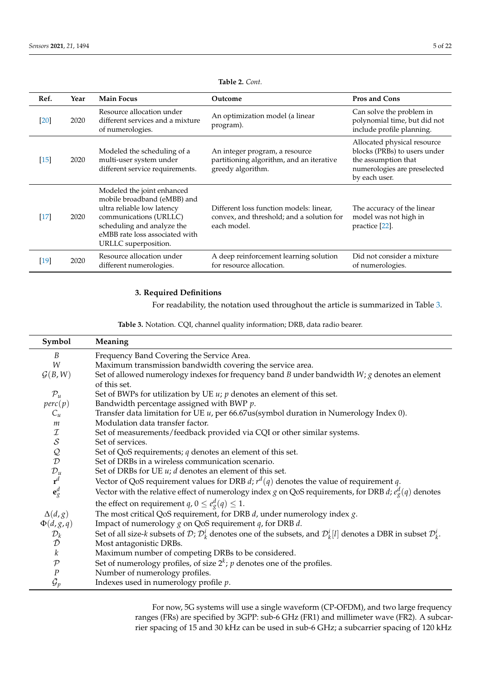<span id="page-4-1"></span>

| Ref.   | Year | <b>Main Focus</b>                                                                                                                                                                                         | Outcome                                                                                             | Pros and Cons                                                                                                                       |
|--------|------|-----------------------------------------------------------------------------------------------------------------------------------------------------------------------------------------------------------|-----------------------------------------------------------------------------------------------------|-------------------------------------------------------------------------------------------------------------------------------------|
| [20]   | 2020 | Resource allocation under<br>different services and a mixture<br>of numerologies.                                                                                                                         | An optimization model (a linear<br>program).                                                        | Can solve the problem in<br>polynomial time, but did not<br>include profile planning.                                               |
| $[15]$ | 2020 | Modeled the scheduling of a<br>multi-user system under<br>different service requirements.                                                                                                                 | An integer program, a resource<br>partitioning algorithm, and an iterative<br>greedy algorithm.     | Allocated physical resource<br>blocks (PRBs) to users under<br>the assumption that<br>numerologies are preselected<br>by each user. |
| $[17]$ | 2020 | Modeled the joint enhanced<br>mobile broadband (eMBB) and<br>ultra reliable low latency<br>communications (URLLC)<br>scheduling and analyze the<br>eMBB rate loss associated with<br>URLLC superposition. | Different loss function models: linear,<br>convex, and threshold; and a solution for<br>each model. | The accuracy of the linear<br>model was not high in<br>practice [22].                                                               |
| $[19]$ | 2020 | Resource allocation under<br>different numerologies.                                                                                                                                                      | A deep reinforcement learning solution<br>for resource allocation.                                  | Did not consider a mixture<br>of numerologies.                                                                                      |

**Table 2.** *Cont.*

# <span id="page-4-0"></span>**3. Required Definitions**

For readability, the notation used throughout the article is summarized in Table [3.](#page-4-2)

**Table 3.** Notation. CQI, channel quality information; DRB, data radio bearer.

<span id="page-4-2"></span>

| Symbol                              | Meaning                                                                                                                                            |
|-------------------------------------|----------------------------------------------------------------------------------------------------------------------------------------------------|
| B                                   | Frequency Band Covering the Service Area.                                                                                                          |
| W                                   | Maximum transmission bandwidth covering the service area.                                                                                          |
| G(B,W)                              | Set of allowed numerology indexes for frequency band $B$ under bandwidth $W$ ; $g$ denotes an element                                              |
|                                     | of this set.                                                                                                                                       |
| $\mathcal{P}_u$                     | Set of BWPs for utilization by UE $u$ ; $p$ denotes an element of this set.                                                                        |
| perc(p)                             | Bandwidth percentage assigned with BWP $p$ .                                                                                                       |
| $C_u$                               | Transfer data limitation for UE $u$ , per 66.67us(symbol duration in Numerology Index 0).                                                          |
| m                                   | Modulation data transfer factor.                                                                                                                   |
| $I \simeq$<br>$Q \simeq D$          | Set of measurements/feedback provided via CQI or other similar systems.                                                                            |
|                                     | Set of services.                                                                                                                                   |
|                                     | Set of QoS requirements; $q$ denotes an element of this set.                                                                                       |
|                                     | Set of DRBs in a wireless communication scenario.                                                                                                  |
| $\mathcal{D}_u$                     | Set of DRBs for UE $u$ ; $d$ denotes an element of this set.                                                                                       |
| $\mathbf{r}^d$                      | Vector of QoS requirement values for DRB d; $r^d(q)$ denotes the value of requirement q.                                                           |
| $\mathbf{e}^d_g$                    | Vector with the relative effect of numerology index <i>g</i> on QoS requirements, for DRB <i>d</i> ; $e_q^d(q)$ denotes                            |
|                                     | the effect on requirement $q$ , $0 \le e_g^d(q) \le 1$ .                                                                                           |
| $\Delta(d,g)$                       | The most critical QoS requirement, for DRB $d$ , under numerology index $g$ .                                                                      |
| $\Phi(d,g,q)$                       | Impact of numerology $g$ on QoS requirement $q$ , for DRB $d$ .                                                                                    |
| $\mathcal{D}_k$ $\bar{\mathcal{D}}$ | Set of all size-k subsets of D; $\mathcal{D}_k^i$ denotes one of the subsets, and $\mathcal{D}_k^i[l]$ denotes a DBR in subset $\mathcal{D}_k^i$ . |
|                                     | Most antagonistic DRBs.                                                                                                                            |
| $\boldsymbol{k}$                    | Maximum number of competing DRBs to be considered.                                                                                                 |
| $\mathcal P$                        | Set of numerology profiles, of size $2^k$ ; p denotes one of the profiles.                                                                         |
| $\boldsymbol{P}$                    | Number of numerology profiles.                                                                                                                     |
| $\bar{\cal G}_p$                    | Indexes used in numerology profile $p$ .                                                                                                           |

For now, 5G systems will use a single waveform (CP-OFDM), and two large frequency ranges (FRs) are specified by 3GPP: sub-6 GHz (FR1) and millimeter wave (FR2). A subcarrier spacing of 15 and 30 kHz can be used in sub-6 GHz; a subcarrier spacing of 120 kHz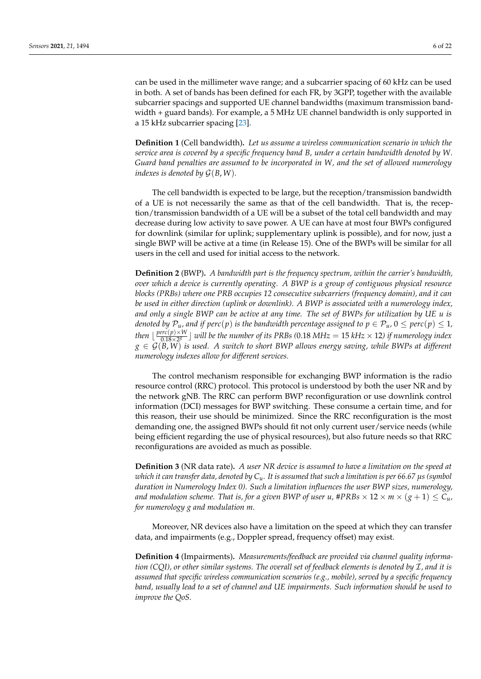can be used in the millimeter wave range; and a subcarrier spacing of 60 kHz can be used in both. A set of bands has been defined for each FR, by 3GPP, together with the available subcarrier spacings and supported UE channel bandwidths (maximum transmission bandwidth + guard bands). For example, a 5 MHz UE channel bandwidth is only supported in a 15 kHz subcarrier spacing [\[23\]](#page-20-22).

**Definition 1** (Cell bandwidth)**.** *Let us assume a wireless communication scenario in which the service area is covered by a specific frequency band B, under a certain bandwidth denoted by W. Guard band penalties are assumed to be incorporated in W, and the set of allowed numerology indexes is denoted by*  $G(B, W)$ *.* 

The cell bandwidth is expected to be large, but the reception/transmission bandwidth of a UE is not necessarily the same as that of the cell bandwidth. That is, the reception/transmission bandwidth of a UE will be a subset of the total cell bandwidth and may decrease during low activity to save power. A UE can have at most four BWPs configured for downlink (similar for uplink; supplementary uplink is possible), and for now, just a single BWP will be active at a time (in Release 15). One of the BWPs will be similar for all users in the cell and used for initial access to the network.

**Definition 2** (BWP)**.** *A bandwidth part is the frequency spectrum, within the carrier's bandwidth, over which a device is currently operating. A BWP is a group of contiguous physical resource blocks (PRBs) where one PRB occupies 12 consecutive subcarriers (frequency domain), and it can be used in either direction (uplink or downlink). A BWP is associated with a numerology index, and only a single BWP can be active at any time. The set of BWPs for utilization by UE u is denoted by*  $P_u$ *, and if perc*(*p*) *is the bandwidth percentage assigned to*  $p \in P_u$ *,*  $0 \leq perc(p) \leq 1$ *, then*  $\lfloor \frac{perc(p) \times W}{0.18 \times 28} \rfloor$  $\frac{\rho r c(p) \times W}{0.18 \times 2^{g}}$  will be the number of its PRBs (0.18 MHz  $= 15$  kHz  $\times$  12) if numerology index  $g \in \mathcal{G}(B, W)$  *is used. A switch to short BWP allows energy saving, while BWPs at different numerology indexes allow for different services.*

The control mechanism responsible for exchanging BWP information is the radio resource control (RRC) protocol. This protocol is understood by both the user NR and by the network gNB. The RRC can perform BWP reconfiguration or use downlink control information (DCI) messages for BWP switching. These consume a certain time, and for this reason, their use should be minimized. Since the RRC reconfiguration is the most demanding one, the assigned BWPs should fit not only current user/service needs (while being efficient regarding the use of physical resources), but also future needs so that RRC reconfigurations are avoided as much as possible.

**Definition 3** (NR data rate)**.** *A user NR device is assumed to have a limitation on the speed at which it can transfer data, denoted by Cu. It is assumed that such a limitation is per 66.67 µs (symbol duration in Numerology Index 0). Such a limitation influences the user BWP sizes, numerology, and modulation scheme. That is, for a given BWP of user u,*  $\#PRBs \times 12 \times m \times (g+1) \leq C_u$ *, for numerology g and modulation m.*

Moreover, NR devices also have a limitation on the speed at which they can transfer data, and impairments (e.g., Doppler spread, frequency offset) may exist.

**Definition 4** (Impairments)**.** *Measurements/feedback are provided via channel quality information (CQI), or other similar systems. The overall set of feedback elements is denoted by* I*, and it is assumed that specific wireless communication scenarios (e.g., mobile), served by a specific frequency band, usually lead to a set of channel and UE impairments. Such information should be used to improve the QoS.*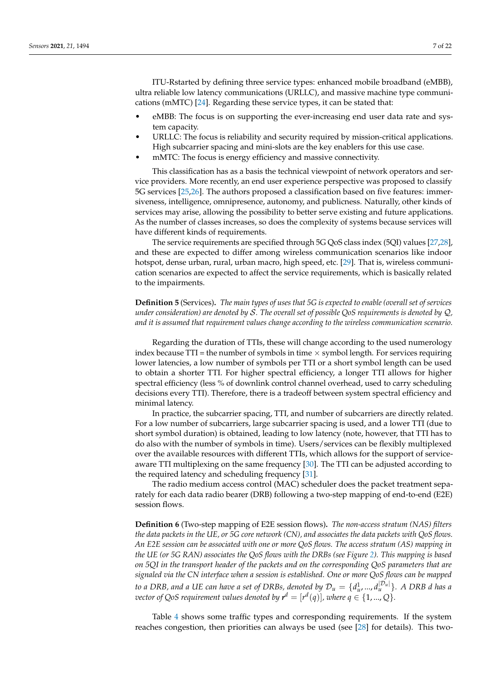ITU-Rstarted by defining three service types: enhanced mobile broadband (eMBB), ultra reliable low latency communications (URLLC), and massive machine type communications (mMTC) [\[24\]](#page-20-23). Regarding these service types, it can be stated that:

- eMBB: The focus is on supporting the ever-increasing end user data rate and system capacity.
- URLLC: The focus is reliability and security required by mission-critical applications. High subcarrier spacing and mini-slots are the key enablers for this use case.
- mMTC: The focus is energy efficiency and massive connectivity.

This classification has as a basis the technical viewpoint of network operators and service providers. More recently, an end user experience perspective was proposed to classify 5G services [\[25,](#page-20-24)[26\]](#page-21-0). The authors proposed a classification based on five features: immersiveness, intelligence, omnipresence, autonomy, and publicness. Naturally, other kinds of services may arise, allowing the possibility to better serve existing and future applications. As the number of classes increases, so does the complexity of systems because services will have different kinds of requirements.

The service requirements are specified through 5G QoS class index (5QI) values [\[27](#page-21-1)[,28\]](#page-21-2), and these are expected to differ among wireless communication scenarios like indoor hotspot, dense urban, rural, urban macro, high speed, etc. [\[29\]](#page-21-3). That is, wireless communication scenarios are expected to affect the service requirements, which is basically related to the impairments.

**Definition 5** (Services)**.** *The main types of uses that 5G is expected to enable (overall set of services under consideration) are denoted by* S*. The overall set of possible QoS requirements is denoted by* Q*, and it is assumed that requirement values change according to the wireless communication scenario.*

Regarding the duration of TTIs, these will change according to the used numerology index because TTI = the number of symbols in time  $\times$  symbol length. For services requiring lower latencies, a low number of symbols per TTI or a short symbol length can be used to obtain a shorter TTI. For higher spectral efficiency, a longer TTI allows for higher spectral efficiency (less % of downlink control channel overhead, used to carry scheduling decisions every TTI). Therefore, there is a tradeoff between system spectral efficiency and minimal latency.

In practice, the subcarrier spacing, TTI, and number of subcarriers are directly related. For a low number of subcarriers, large subcarrier spacing is used, and a lower TTI (due to short symbol duration) is obtained, leading to low latency (note, however, that TTI has to do also with the number of symbols in time). Users/services can be flexibly multiplexed over the available resources with different TTIs, which allows for the support of serviceaware TTI multiplexing on the same frequency [\[30\]](#page-21-4). The TTI can be adjusted according to the required latency and scheduling frequency [\[31\]](#page-21-5).

The radio medium access control (MAC) scheduler does the packet treatment separately for each data radio bearer (DRB) following a two-step mapping of end-to-end (E2E) session flows.

**Definition 6** (Two-step mapping of E2E session flows)**.** *The non-access stratum (NAS) filters the data packets in the UE, or 5G core network (CN), and associates the data packets with QoS flows. An E2E session can be associated with one or more QoS flows. The access stratum (AS) mapping in the UE (or 5G RAN) associates the QoS flows with the DRBs (see Figure [2\)](#page-10-0). This mapping is based on 5QI in the transport header of the packets and on the corresponding QoS parameters that are signaled via the CN interface when a session is established. One or more QoS flows can be mapped*  $t$ o a DRB, and a UE can have a set of DRBs, denoted by  $\mathcal{D}_u = \{d^1_u, ..., d^{\vert\mathcal{D}_u\vert}_u\}$ . A DRB  $d$  has a *vector of QoS requirement values denoted by*  $\mathbf{r}^d = [r^d(q)]$ *, where*  $q \in \{1, ..., Q\}$ *.* 

Table [4](#page-7-0) shows some traffic types and corresponding requirements. If the system reaches congestion, then priorities can always be used (see [\[28\]](#page-21-2) for details). This two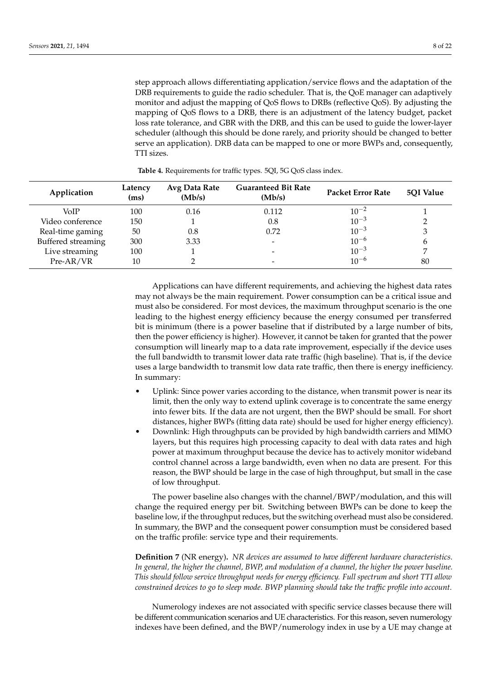step approach allows differentiating application/service flows and the adaptation of the DRB requirements to guide the radio scheduler. That is, the QoE manager can adaptively monitor and adjust the mapping of QoS flows to DRBs (reflective QoS). By adjusting the mapping of QoS flows to a DRB, there is an adjustment of the latency budget, packet loss rate tolerance, and GBR with the DRB, and this can be used to guide the lower-layer scheduler (although this should be done rarely, and priority should be changed to better serve an application). DRB data can be mapped to one or more BWPs and, consequently, TTI sizes.

<span id="page-7-0"></span>

| Application        | Latency<br>(ms) | Avg Data Rate<br>(Mb/s) | <b>Guaranteed Bit Rate</b><br>(Mb/s) | <b>Packet Error Rate</b> | 5QI Value |
|--------------------|-----------------|-------------------------|--------------------------------------|--------------------------|-----------|
| VoIP               | 100             | 0.16                    | 0.112                                | $10^{-2}$                |           |
| Video conference   | 150             |                         | 0.8                                  | $10^{-3}$                |           |
| Real-time gaming   | 50              | 0.8                     | 0.72                                 | $10^{-3}$                |           |
| Buffered streaming | 300             | 3.33                    |                                      | $10^{-6}$                | b         |
| Live streaming     | 100             |                         | -                                    | $10^{-3}$                |           |
| Pre-AR/VR          | 10              |                         |                                      | $10^{-6}$                | 80        |

**Table 4.** Requirements for traffic types. 5QI, 5G QoS class index.

Applications can have different requirements, and achieving the highest data rates may not always be the main requirement. Power consumption can be a critical issue and must also be considered. For most devices, the maximum throughput scenario is the one leading to the highest energy efficiency because the energy consumed per transferred bit is minimum (there is a power baseline that if distributed by a large number of bits, then the power efficiency is higher). However, it cannot be taken for granted that the power consumption will linearly map to a data rate improvement, especially if the device uses the full bandwidth to transmit lower data rate traffic (high baseline). That is, if the device uses a large bandwidth to transmit low data rate traffic, then there is energy inefficiency. In summary:

- Uplink: Since power varies according to the distance, when transmit power is near its limit, then the only way to extend uplink coverage is to concentrate the same energy into fewer bits. If the data are not urgent, then the BWP should be small. For short distances, higher BWPs (fitting data rate) should be used for higher energy efficiency).
- Downlink: High throughputs can be provided by high bandwidth carriers and MIMO layers, but this requires high processing capacity to deal with data rates and high power at maximum throughput because the device has to actively monitor wideband control channel across a large bandwidth, even when no data are present. For this reason, the BWP should be large in the case of high throughput, but small in the case of low throughput.

The power baseline also changes with the channel/BWP/modulation, and this will change the required energy per bit. Switching between BWPs can be done to keep the baseline low, if the throughput reduces, but the switching overhead must also be considered. In summary, the BWP and the consequent power consumption must be considered based on the traffic profile: service type and their requirements.

**Definition 7** (NR energy)**.** *NR devices are assumed to have different hardware characteristics. In general, the higher the channel, BWP, and modulation of a channel, the higher the power baseline. This should follow service throughput needs for energy efficiency. Full spectrum and short TTI allow constrained devices to go to sleep mode. BWP planning should take the traffic profile into account.*

Numerology indexes are not associated with specific service classes because there will be different communication scenarios and UE characteristics. For this reason, seven numerology indexes have been defined, and the BWP/numerology index in use by a UE may change at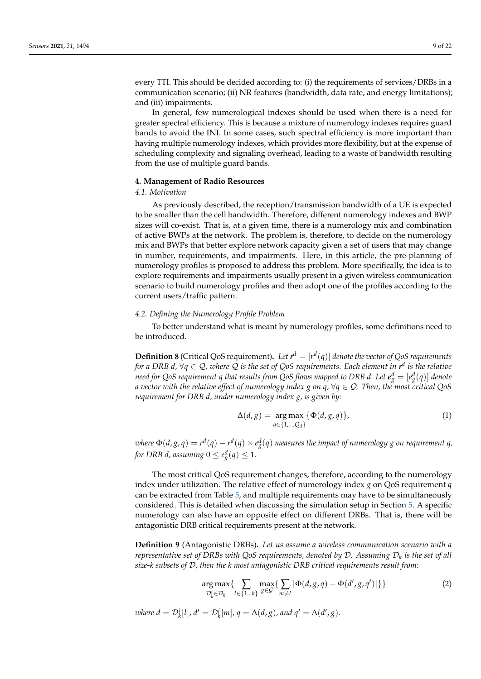every TTI. This should be decided according to: (i) the requirements of services/DRBs in a communication scenario; (ii) NR features (bandwidth, data rate, and energy limitations); and (iii) impairments.

In general, few numerological indexes should be used when there is a need for greater spectral efficiency. This is because a mixture of numerology indexes requires guard bands to avoid the INI. In some cases, such spectral efficiency is more important than having multiple numerology indexes, which provides more flexibility, but at the expense of scheduling complexity and signaling overhead, leading to a waste of bandwidth resulting from the use of multiple guard bands.

## <span id="page-8-0"></span>**4. Management of Radio Resources**

## *4.1. Motivation*

As previously described, the reception/transmission bandwidth of a UE is expected to be smaller than the cell bandwidth. Therefore, different numerology indexes and BWP sizes will co-exist. That is, at a given time, there is a numerology mix and combination of active BWPs at the network. The problem is, therefore, to decide on the numerology mix and BWPs that better explore network capacity given a set of users that may change in number, requirements, and impairments. Here, in this article, the pre-planning of numerology profiles is proposed to address this problem. More specifically, the idea is to explore requirements and impairments usually present in a given wireless communication scenario to build numerology profiles and then adopt one of the profiles according to the current users/traffic pattern.

## *4.2. Defining the Numerology Profile Problem*

To better understand what is meant by numerology profiles, some definitions need to be introduced.

**Definition 8** (Critical QoS requirement). Let  $r^d = [r^d(q)]$  denote the vector of QoS requirements *for a DRB d,* ∀*q* ∈ Q*, where* Q *is the set of QoS requirements. Each element in r d is the relative need for QoS requirement q that results from QoS flows mapped to DRB d. Let*  $e_{g}^{d} = [e_{g}^{d}(q)]$  *denote a vector with the relative effect of numerology index g on q,* ∀*q* ∈ Q*. Then, the most critical QoS requirement for DRB d, under numerology index g, is given by:*

$$
\Delta(d,g) = \underset{q \in \{1,\dots,Q_d\}}{\arg \max} \{\Phi(d,g,q)\},\tag{1}
$$

where  $\Phi(d,g,\mathfrak{q})=r^d(\mathfrak{q})-r^d(\mathfrak{q})\times e^d_\mathfrak{g}(\mathfrak{q})$  measures the impact of numerology  $g$  on requirement  $\mathfrak{q},$ *for DRB d, assuming*  $0 \le e_g^d(q) \le 1$ *.* 

The most critical QoS requirement changes, therefore, according to the numerology index under utilization. The relative effect of numerology index *g* on QoS requirement *q* can be extracted from Table [5,](#page-9-0) and multiple requirements may have to be simultaneously considered. This is detailed when discussing the simulation setup in Section [5.](#page-13-0) A specific numerology can also have an opposite effect on different DRBs. That is, there will be antagonistic DRB critical requirements present at the network.

**Definition 9** (Antagonistic DRBs)**.** *Let us assume a wireless communication scenario with a representative set of DRBs with QoS requirements, denoted by* D*. Assuming* D*<sup>k</sup> is the set of all size-k subsets of* D*, then the k most antagonistic DRB critical requirements result from:*

<span id="page-8-1"></span>
$$
\underset{\mathcal{D}_k^i \in \mathcal{D}_k}{\arg \max} \{ \sum_{l \in \{1...k\}} \underset{\mathcal{S} \in \mathcal{G}}{\max} \{ \sum_{m \neq l} |\Phi(d, g, q) - \Phi(d', g, q')| \} \} \tag{2}
$$

*where*  $d = D^i_k[l]$ *,*  $d' = D^i_k[m]$ *,*  $q = \Delta(d, g)$ *, and*  $q' = \Delta(d', g)$ *.*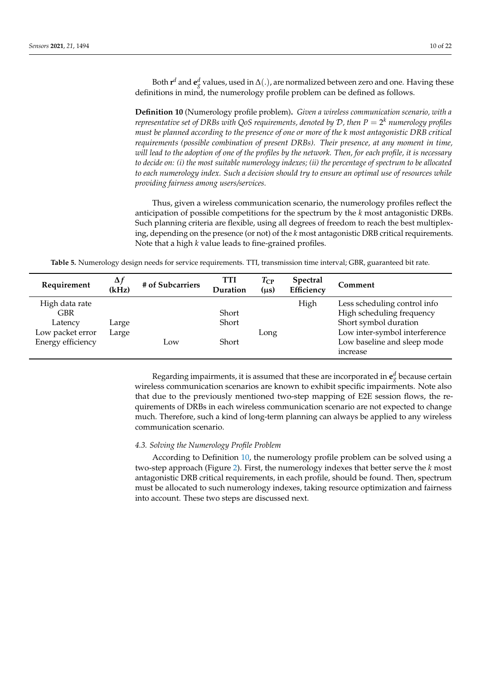Both  $\mathbf{r}^d$  and  $\mathbf{e}^d_g$  values, used in  $\Delta(.)$ , are normalized between zero and one. Having these definitions in mind, the numerology profile problem can be defined as follows.

<span id="page-9-1"></span>**Definition 10** (Numerology profile problem)**.** *Given a wireless communication scenario, with a representative set of DRBs with QoS requirements, denoted by* D*, then P* = 2 *<sup>k</sup> numerology profiles must be planned according to the presence of one or more of the k most antagonistic DRB critical requirements (possible combination of present DRBs). Their presence, at any moment in time, will lead to the adoption of one of the profiles by the network. Then, for each profile, it is necessary to decide on: (i) the most suitable numerology indexes; (ii) the percentage of spectrum to be allocated to each numerology index. Such a decision should try to ensure an optimal use of resources while providing fairness among users/services.*

Thus, given a wireless communication scenario, the numerology profiles reflect the anticipation of possible competitions for the spectrum by the *k* most antagonistic DRBs. Such planning criteria are flexible, using all degrees of freedom to reach the best multiplexing, depending on the presence (or not) of the *k* most antagonistic DRB critical requirements. Note that a high *k* value leads to fine-grained profiles.

**Table 5.** Numerology design needs for service requirements. TTI, transmission time interval; GBR, guaranteed bit rate.

<span id="page-9-0"></span>

| Requirement                                                                      | $\Delta f$<br>(kHz) | # of Subcarriers | <b>TTI</b><br>Duration  | $T_{\rm CP}$<br>$(\mu s)$ | <b>Spectral</b><br>Efficiency | Comment                                                                                                                                                        |
|----------------------------------------------------------------------------------|---------------------|------------------|-------------------------|---------------------------|-------------------------------|----------------------------------------------------------------------------------------------------------------------------------------------------------------|
| High data rate<br><b>GBR</b><br>Latency<br>Low packet error<br>Energy efficiency | Large<br>Large      | Low              | Short<br>Short<br>Short | Long                      | High                          | Less scheduling control info<br>High scheduling frequency<br>Short symbol duration<br>Low inter-symbol interference<br>Low baseline and sleep mode<br>increase |

Regarding impairments, it is assumed that these are incorporated in  $\mathbf{e}_g^d$  because certain wireless communication scenarios are known to exhibit specific impairments. Note also that due to the previously mentioned two-step mapping of E2E session flows, the requirements of DRBs in each wireless communication scenario are not expected to change much. Therefore, such a kind of long-term planning can always be applied to any wireless communication scenario.

## *4.3. Solving the Numerology Profile Problem*

According to Definition [10,](#page-9-1) the numerology profile problem can be solved using a two-step approach (Figure [2\)](#page-10-0). First, the numerology indexes that better serve the *k* most antagonistic DRB critical requirements, in each profile, should be found. Then, spectrum must be allocated to such numerology indexes, taking resource optimization and fairness into account. These two steps are discussed next.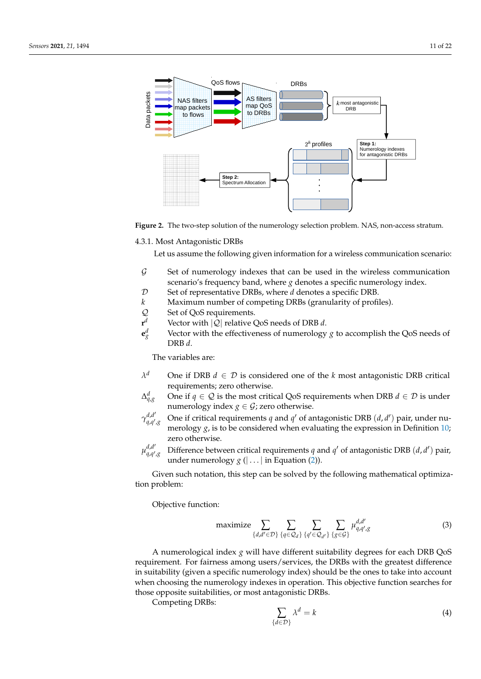<span id="page-10-0"></span>



4.3.1. Most Antagonistic DRBs

Let us assume the following given information for a wireless communication scenario:

- $G$  Set of numerology indexes that can be used in the wireless communication scenario's frequency band, where *g* denotes a specific numerology index.
- D Set of representative DRBs, where *d* denotes a specific DRB.
- *k* Maximum number of competing DRBs (granularity of profiles).
- Q Set of QoS requirements.
- **r** *<sup>d</sup>* Vector with |Q| relative QoS needs of DRB *d*.
- **e** *d* Vector with the effectiveness of numerology *g* to accomplish the QoS needs of DRB *d*.

The variables are:

- *λ* One if DRB  $d \in \mathcal{D}$  is considered one of the *k* most antagonistic DRB critical requirements; zero otherwise.
- ∆ *d* One if *q*  $\in$  *Q* is the most critical QoS requirements when DRB *d*  $\in$  *D* is under numerology index  $g \in \mathcal{G}$ ; zero otherwise.
- $\gamma_{a,a'}^{d,d'}$ *q*,*q* 0 One if critical requirements *q* and *q*<sup> $\prime$ </sup> of antagonistic DRB (*d*, *d*<sup> $\prime$ </sup>) pair, under numerology  $g$ , is to be considered when evaluating the expression in Definition [10;](#page-9-1) zero otherwise.
- $\mu_{a,a'}^{d,d'}$ *q*,*q* 0 Difference between critical requirements *q* and *q*<sup> $\prime$ </sup> of antagonistic DRB (*d*, *d*<sup> $\prime$ </sup>) pair, under numerology  $g$  ( $| \dots |$  in Equation [\(2\)](#page-8-1)).

Given such notation, this step can be solved by the following mathematical optimization problem:

Objective function:

$$
\text{maximize} \sum_{\{d,d' \in \mathcal{D}\}} \sum_{\{q \in \mathcal{Q}_d\}} \sum_{\{q' \in \mathcal{Q}_{d'}\}} \sum_{\{g \in \mathcal{G}\}} \mu_{q,q',g}^{d,d'} \tag{3}
$$

A numerological index *g* will have different suitability degrees for each DRB QoS requirement. For fairness among users/services, the DRBs with the greatest difference in suitability (given a specific numerology index) should be the ones to take into account when choosing the numerology indexes in operation. This objective function searches for those opposite suitabilities, or most antagonistic DRBs.

Competing DRBs:

$$
\sum_{\{d \in \mathcal{D}\}} \lambda^d = k \tag{4}
$$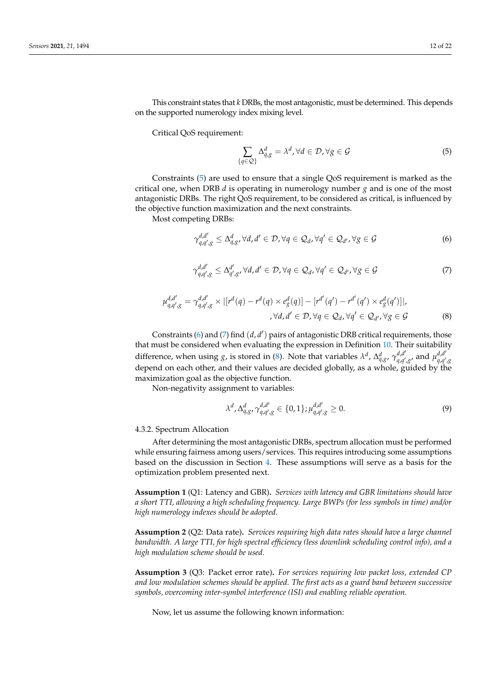This constraint states that *k* DRBs, the most antagonistic, must be determined. This depends on the supported numerology index mixing level.

Critical QoS requirement:

<span id="page-11-0"></span>
$$
\sum_{\{q\in\mathcal{Q}\}}\Delta_{q,g}^d = \lambda^d, \forall d \in \mathcal{D}, \forall g \in \mathcal{G}
$$
\n(5)

Constraints [\(5\)](#page-11-0) are used to ensure that a single QoS requirement is marked as the critical one, when DRB *d* is operating in numerology number *g* and is one of the most antagonistic DRBs. The right QoS requirement, to be considered as critical, is influenced by the objective function maximization and the next constraints.

Most competing DRBs:

<span id="page-11-1"></span>
$$
\gamma_{q,q',g}^{d,d'} \leq \Delta_{q,g'}^d, \forall d,d' \in \mathcal{D}, \forall q \in \mathcal{Q}_d, \forall q' \in \mathcal{Q}_{d'}, \forall g \in \mathcal{G}
$$
\n
$$
(6)
$$

<span id="page-11-2"></span>
$$
\gamma_{q,q',g}^{d,d'} \leq \Delta_{q',g'}^{d'} \forall d,d' \in \mathcal{D}, \forall q \in \mathcal{Q}_d, \forall q' \in \mathcal{Q}_{d'}, \forall g \in \mathcal{G}
$$
\n(7)

<span id="page-11-3"></span>
$$
\mu_{q,q',g}^{d,d'} = \gamma_{q,q',g}^{d,d'} \times |[r^d(q) - r^d(q) \times e_g^d(q)] - [r^{d'}(q') - r^{d'}(q') \times e_g^d(q')]|,
$$
  

$$
\forall d, d' \in \mathcal{D}, \forall q \in \mathcal{Q}_d, \forall q' \in \mathcal{Q}_{d'}, \forall g \in \mathcal{G}
$$
 (8)

Constraints [\(6\)](#page-11-1) and [\(7\)](#page-11-2) find (*d*, *d'*) pairs of antagonistic DRB critical requirements, those that must be considered when evaluating the expression in Definition [10.](#page-9-1) Their suitability difference, when using *g*, is stored in [\(8\)](#page-11-3). Note that variables  $\lambda^d$ ,  $\Delta_{q,g}^d$ ,  $\gamma_{q,q'}^{d,d'}$ *d*,*d'*<sub>*d*</sub>,*d'*<sub>*d*</sub>,*d'*<sub>*q*</sub>,*d'*<sub>*d*</sub>,*d'*<sub>*d*</sub>,*d' q*,*q* 0 ,*g* depend on each other, and their values are decided globally, as a whole, guided by the maximization goal as the objective function.

Non-negativity assignment to variables:

$$
\lambda^{d}, \Delta_{q,g}^{d}, \gamma_{q,q',g}^{d,d'} \in \{0,1\}; \mu_{q,q',g}^{d,d'} \ge 0.
$$
\n(9)

4.3.2. Spectrum Allocation

After determining the most antagonistic DRBs, spectrum allocation must be performed while ensuring fairness among users/services. This requires introducing some assumptions based on the discussion in Section [4.](#page-8-0) These assumptions will serve as a basis for the optimization problem presented next.

<span id="page-11-4"></span>**Assumption 1** (Q1: Latency and GBR)**.** *Services with latency and GBR limitations should have a short TTI, allowing a high scheduling frequency. Large BWPs (for less symbols in time) and/or high numerology indexes should be adopted.*

<span id="page-11-6"></span>**Assumption 2** (Q2: Data rate)**.** *Services requiring high data rates should have a large channel bandwidth. A large TTI, for high spectral efficiency (less downlink scheduling control info), and a high modulation scheme should be used.*

<span id="page-11-5"></span>**Assumption 3** (Q3: Packet error rate)**.** *For services requiring low packet loss, extended CP and low modulation schemes should be applied. The first acts as a guard band between successive symbols, overcoming inter-symbol interference (ISI) and enabling reliable operation.*

Now, let us assume the following known information: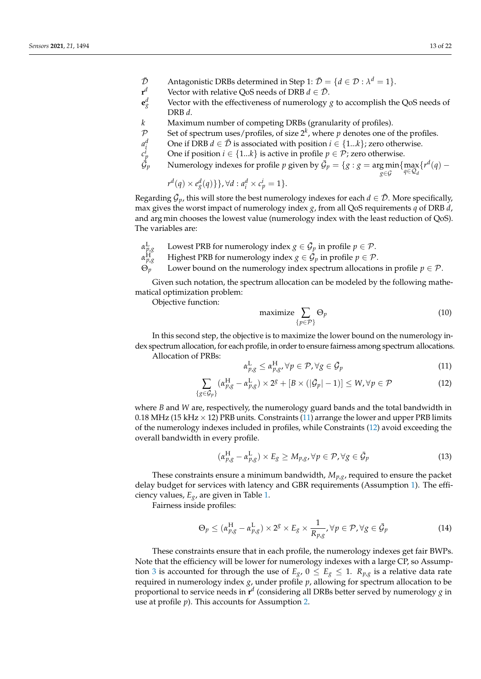- $\bar{\mathcal{D}}$  Antagonistic DRBs determined in Step 1:  $\bar{\mathcal{D}} = \{d \in \mathcal{D} : \lambda^d = 1\}.$
- $\mathbf{r}^d$ *Vector with relative QoS needs of DRB*  $d \in \overline{\mathcal{D}}$ *.*
- **e** *d* Vector with the effectiveness of numerology  $g$  to accomplish the QoS needs of DRB *d*.
- *k* Maximum number of competing DRBs (granularity of profiles).
- $\mathcal{P}$  Set of spectrum uses/profiles, of size  $2^k$ , where  $p$  denotes one of the profiles.
- *a d One if DRB*  $d \in \overline{\mathcal{D}}$  *is associated with position*  $i \in \{1...k\}$ *; zero otherwise.*
- *c i Phere* if position *i* ∈ {1...*k*} is active in profile *p* ∈ *P*; zero otherwise.
- $\dot{G}_n$ *p*  $\Box$  Numerology indexes for profile *p* given by  $\mathcal{G}_p = \{g : g = \argmin_{g \in \mathcal{G}} \{\max_{q \in \mathcal{Q}_d} \{r^d(q) - g\} \}$

$$
r^d(q) \times e_g^d(q)\}, \forall d : a_i^d \times c_p^i = 1\}.
$$

Regarding  $\bar{\mathcal{G}}_p$ , this will store the best numerology indexes for each  $d \in \bar{\mathcal{D}}$ . More specifically, max gives the worst impact of numerology index *g*, from all QoS requirements *q* of DRB *d*, and arg min chooses the lowest value (numerology index with the least reduction of QoS). The variables are:

- *α* L  $\mu_{\mathcal{B}}^{\rm L}$  Lowest PRB for numerology index  $g\in\mathcal{G}_p$  in profile  $p\in\mathcal{P}.$
- *α* H  $\hat{p}_{p,g}^{\text{H}^+}$  Highest PRB for numerology index  $g \in \mathcal{\vec{G}}_p$  in profile  $p \in \mathcal{P}.$
- $\Theta_p$  Lower bound on the numerology index spectrum allocations in profile  $p \in \mathcal{P}$ .

Given such notation, the spectrum allocation can be modeled by the following mathematical optimization problem:

Objective function:

$$
\text{maximize } \sum_{\{p \in \mathcal{P}\}} \Theta_p \tag{10}
$$

*g*∈G

In this second step, the objective is to maximize the lower bound on the numerology index spectrum allocation, for each profile, in order to ensure fairness among spectrum allocations.

Allocation of PRBs:

<span id="page-12-0"></span>
$$
\alpha_{p,g}^{\mathcal{L}} \leq \alpha_{p,g}^{\mathcal{H}}, \forall p \in \mathcal{P}, \forall g \in \bar{\mathcal{G}}_p \tag{11}
$$

<span id="page-12-1"></span>
$$
\sum_{\{g \in \mathcal{G}_p\}} (\alpha_{p,g}^H - \alpha_{p,g}^L) \times 2^g + [B \times (|\mathcal{G}_p| - 1)] \le W, \forall p \in \mathcal{P}
$$
\n(12)

where *B* and *W* are, respectively, the numerology guard bands and the total bandwidth in 0.18 MHz (15 kHz  $\times$  12) PRB units. Constraints [\(11\)](#page-12-0) arrange the lower and upper PRB limits of the numerology indexes included in profiles, while Constraints [\(12\)](#page-12-1) avoid exceeding the overall bandwidth in every profile.

$$
(\alpha_{p,g}^{\rm H} - \alpha_{p,g}^{\rm L}) \times E_g \ge M_{p,g}, \forall p \in \mathcal{P}, \forall g \in \bar{\mathcal{G}}_p
$$
\n(13)

These constraints ensure a minimum bandwidth, *Mp*,*g*, required to ensure the packet delay budget for services with latency and GBR requirements (Assumption [1\)](#page-11-4). The efficiency values, *Eg*, are given in Table [1.](#page-1-0)

Fairness inside profiles:

<span id="page-12-2"></span>
$$
\Theta_p \leq (\alpha_{p,g}^{\rm H} - \alpha_{p,g}^{\rm L}) \times 2^g \times E_g \times \frac{1}{R_{p,g}}, \forall p \in \mathcal{P}, \forall g \in \mathcal{G}_p
$$
\n(14)

These constraints ensure that in each profile, the numerology indexes get fair BWPs. Note that the efficiency will be lower for numerology indexes with a large CP, so Assump-tion [3](#page-11-5) is accounted for through the use of  $E_g$ ,  $0 \le E_g \le 1$ .  $R_{p,g}$  is a relative data rate required in numerology index *g*, under profile *p*, allowing for spectrum allocation to be proportional to service needs in **r** *d* (considering all DRBs better served by numerology *g* in use at profile *p*). This accounts for Assumption [2.](#page-11-6)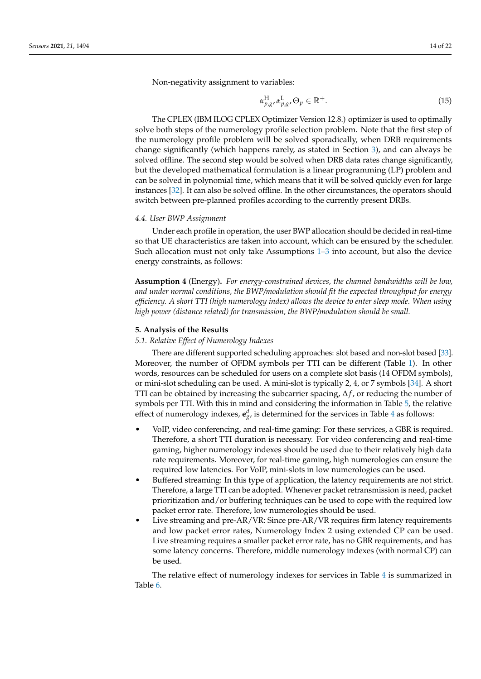Non-negativity assignment to variables:

$$
\alpha_{p,g}^{\rm H}, \alpha_{p,g}^{\rm L}, \Theta_p \in \mathbb{R}^+.
$$
\n(15)

The CPLEX (IBM ILOG CPLEX Optimizer Version 12.8.) optimizer is used to optimally solve both steps of the numerology profile selection problem. Note that the first step of the numerology profile problem will be solved sporadically, when DRB requirements change significantly (which happens rarely, as stated in Section [3\)](#page-4-0), and can always be solved offline. The second step would be solved when DRB data rates change significantly, but the developed mathematical formulation is a linear programming (LP) problem and can be solved in polynomial time, which means that it will be solved quickly even for large instances [\[32\]](#page-21-6). It can also be solved offline. In the other circumstances, the operators should switch between pre-planned profiles according to the currently present DRBs.

#### *4.4. User BWP Assignment*

Under each profile in operation, the user BWP allocation should be decided in real-time so that UE characteristics are taken into account, which can be ensured by the scheduler. Such allocation must not only take Assumptions [1–](#page-11-4)[3](#page-11-5) into account, but also the device energy constraints, as follows:

**Assumption 4** (Energy)**.** *For energy-constrained devices, the channel bandwidths will be low, and under normal conditions, the BWP/modulation should fit the expected throughput for energy efficiency. A short TTI (high numerology index) allows the device to enter sleep mode. When using high power (distance related) for transmission, the BWP/modulation should be small.*

## <span id="page-13-0"></span>**5. Analysis of the Results**

## *5.1. Relative Effect of Numerology Indexes*

There are different supported scheduling approaches: slot based and non-slot based [\[33\]](#page-21-7). Moreover, the number of OFDM symbols per TTI can be different (Table [1\)](#page-1-0). In other words, resources can be scheduled for users on a complete slot basis (14 OFDM symbols), or mini-slot scheduling can be used. A mini-slot is typically 2, 4, or 7 symbols [\[34\]](#page-21-8). A short TTI can be obtained by increasing the subcarrier spacing, ∆*f* , or reducing the number of symbols per TTI. With this in mind and considering the information in Table [5,](#page-9-0) the relative effect of numerology indexes,  $\mathbf{e}^d_{g}$ , is determined for the services in Table [4](#page-7-0) as follows:

- VoIP, video conferencing, and real-time gaming: For these services, a GBR is required. Therefore, a short TTI duration is necessary. For video conferencing and real-time gaming, higher numerology indexes should be used due to their relatively high data rate requirements. Moreover, for real-time gaming, high numerologies can ensure the required low latencies. For VoIP, mini-slots in low numerologies can be used.
- Buffered streaming: In this type of application, the latency requirements are not strict. Therefore, a large TTI can be adopted. Whenever packet retransmission is need, packet prioritization and/or buffering techniques can be used to cope with the required low packet error rate. Therefore, low numerologies should be used.
- Live streaming and pre-AR/VR: Since pre-AR/VR requires firm latency requirements and low packet error rates, Numerology Index 2 using extended CP can be used. Live streaming requires a smaller packet error rate, has no GBR requirements, and has some latency concerns. Therefore, middle numerology indexes (with normal CP) can be used.

The relative effect of numerology indexes for services in Table [4](#page-7-0) is summarized in Table [6.](#page-14-0)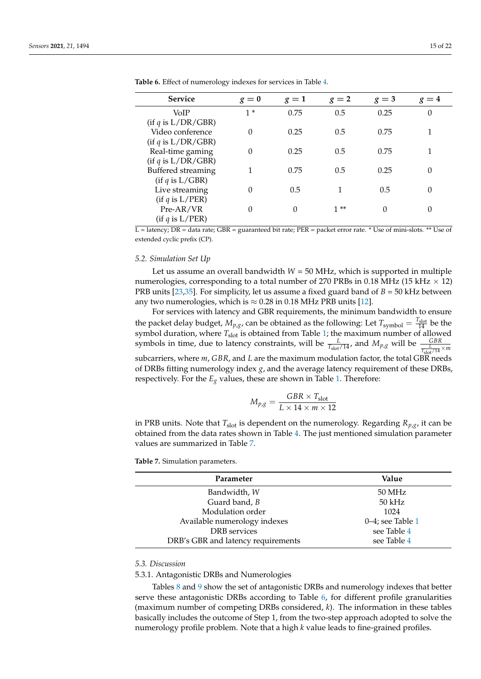| <b>Service</b>       | $g=0$    | $g=1$    | $g=2$ | $g=3$ | $g=4$    |
|----------------------|----------|----------|-------|-------|----------|
| VoIP                 | $1*$     | 0.75     | 0.5   | 0.25  | $\theta$ |
| (if q is L/DR/GBR)   |          |          |       |       |          |
| Video conference     | 0        | 0.25     | 0.5   | 0.75  |          |
| (if q is L/DR/GBR)   |          |          |       |       |          |
| Real-time gaming     | $\Omega$ | 0.25     | 0.5   | 0.75  |          |
| (if q is L/DR/GBR)   |          |          |       |       |          |
| Buffered streaming   |          | 0.75     | 0.5   | 0.25  | 0        |
| (if q is L/GBR)      |          |          |       |       |          |
| Live streaming       | $\Omega$ | 0.5      |       | 0.5   | 0        |
| (if $q$ is $L/PER$ ) |          |          |       |       |          |
| Pre-AR/VR            | 0        | $\Omega$ | $1**$ | 0     | 0        |
| (if $q$ is $L/PER$ ) |          |          |       |       |          |

<span id="page-14-0"></span>**Table 6.** Effect of numerology indexes for services in Table [4.](#page-7-0)

 $\overline{L}$  = latency; DR = data rate; GBR = guaranteed bit rate; PER = packet error rate. \* Use of mini-slots. \*\* Use of extended cyclic prefix (CP).

## *5.2. Simulation Set Up*

Let us assume an overall bandwidth *W* = 50 MHz, which is supported in multiple numerologies, corresponding to a total number of 270 PRBs in 0.18 MHz (15 kHz  $\times$  12) PRB units [\[23](#page-20-22)[,35\]](#page-21-9). For simplicity, let us assume a fixed guard band of *B* = 50 kHz between any two numerologies, which is  $\approx 0.28$  in 0.18 MHz PRB units [\[12\]](#page-20-11).

For services with latency and GBR requirements, the minimum bandwidth to ensure the packet delay budget,  $M_{p,g}$ , can be obtained as the following: Let  $T_{\text{symbol}} = \frac{T_{\text{slot}}}{14}$  be the symbol duration, where *T*slot is obtained from Table [1;](#page-1-0) the maximum number of allowed symbols in time, due to latency constraints, will be  $\frac{L}{T_{slot}/14}$ , and  $M_{p,g}$  will be  $\frac{GBR}{T_{slot}/14} \times m}$ subcarriers, where *m*, *GBR*, and *L* are the maximum modulation factor, the total GBR needs

of DRBs fitting numerology index *g*, and the average latency requirement of these DRBs, respectively. For the  $E_g$  values, these are shown in Table [1.](#page-1-0) Therefore:

$$
M_{p,g} = \frac{GBR \times T_{\text{slot}}}{L \times 14 \times m \times 12}
$$

in PRB units. Note that  $T_{slot}$  is dependent on the numerology. Regarding  $R_{p,q}$ , it can be obtained from the data rates shown in Table [4.](#page-7-0) The just mentioned simulation parameter values are summarized in Table [7.](#page-14-1)

<span id="page-14-1"></span>**Table 7.** Simulation parameters.

| Parameter                          | Value            |
|------------------------------------|------------------|
| Bandwidth, W                       | 50 MHz           |
| Guard band, B                      | $50$ kHz         |
| Modulation order                   | 1024             |
| Available numerology indexes       | 0–4; see Table 1 |
| DRB services                       | see Table 4      |
| DRB's GBR and latency requirements | see Table 4      |

#### *5.3. Discussion*

#### 5.3.1. Antagonistic DRBs and Numerologies

Tables [8](#page-15-0) and [9](#page-15-1) show the set of antagonistic DRBs and numerology indexes that better serve these antagonistic DRBs according to Table [6,](#page-14-0) for different profile granularities (maximum number of competing DRBs considered, *k*). The information in these tables basically includes the outcome of Step 1, from the two-step approach adopted to solve the numerology profile problem. Note that a high *k* value leads to fine-grained profiles.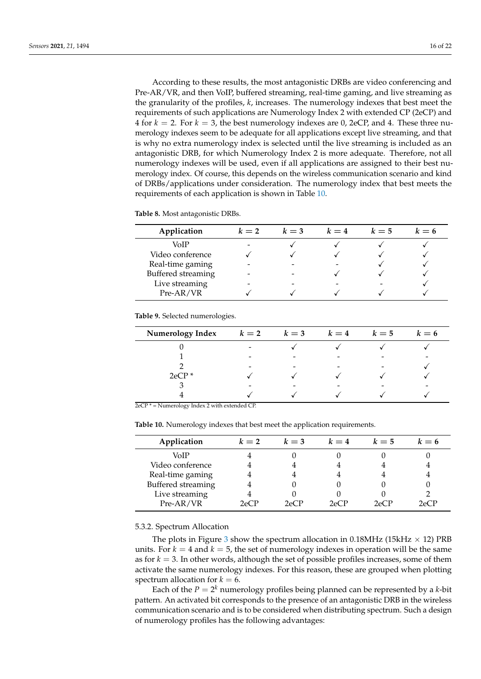According to these results, the most antagonistic DRBs are video conferencing and Pre-AR/VR, and then VoIP, buffered streaming, real-time gaming, and live streaming as the granularity of the profiles, *k*, increases. The numerology indexes that best meet the requirements of such applications are Numerology Index 2 with extended CP (2eCP) and 4 for  $k = 2$ . For  $k = 3$ , the best numerology indexes are 0, 2eCP, and 4. These three numerology indexes seem to be adequate for all applications except live streaming, and that is why no extra numerology index is selected until the live streaming is included as an antagonistic DRB, for which Numerology Index 2 is more adequate. Therefore, not all numerology indexes will be used, even if all applications are assigned to their best numerology index. Of course, this depends on the wireless communication scenario and kind of DRBs/applications under consideration. The numerology index that best meets the requirements of each application is shown in Table [10.](#page-15-2)

<span id="page-15-0"></span>**Table 8.** Most antagonistic DRBs.

| Application        | $k=2$ | $k=3$ | $k=4$ | $k=5$ | $k=6$ |
|--------------------|-------|-------|-------|-------|-------|
| VoIP               |       |       |       |       |       |
| Video conference   |       |       |       |       |       |
| Real-time gaming   |       |       |       |       |       |
| Buffered streaming |       |       |       |       |       |
| Live streaming     |       |       |       |       |       |
| Pre-AR/VR          |       |       |       |       |       |

<span id="page-15-1"></span>**Table 9.** Selected numerologies.

| <b>Numerology Index</b> | $k=2$ | $k=3$ | $k=4$                    | $k=5$ | $k=6$ |
|-------------------------|-------|-------|--------------------------|-------|-------|
|                         | -     |       |                          |       |       |
|                         | -     |       | $\overline{\phantom{0}}$ |       |       |
|                         | -     |       | -                        |       |       |
| $2eCP*$                 |       |       |                          |       |       |
|                         | -     |       | -                        |       |       |
|                         |       |       |                          |       |       |

2eCP \* = Numerology Index 2 with extended CP.

<span id="page-15-2"></span>**Table 10.** Numerology indexes that best meet the application requirements.

| Application        | $k=2$                                | $k=3$ | $k=4$ | $k=5$ | $k=6$      |
|--------------------|--------------------------------------|-------|-------|-------|------------|
| VoIP               |                                      |       |       |       |            |
| Video conference   |                                      |       |       |       |            |
| Real-time gaming   |                                      |       |       |       |            |
| Buffered streaming |                                      |       |       |       |            |
| Live streaming     |                                      |       |       |       |            |
| Pre-AR/VR          | $\gamma_{\mathsf{P}}$ ( $\mathsf{P}$ | 2eCP  | 2eCP  | 2eCP  | $2\rho CP$ |

## 5.3.2. Spectrum Allocation

The plots in Figure [3](#page-16-0) show the spectrum allocation in 0.18MHz (15kHz  $\times$  12) PRB units. For  $k = 4$  and  $k = 5$ , the set of numerology indexes in operation will be the same as for  $k = 3$ . In other words, although the set of possible profiles increases, some of them activate the same numerology indexes. For this reason, these are grouped when plotting spectrum allocation for  $k = 6$ .

Each of the  $P = 2^k$  numerology profiles being planned can be represented by a *k*-bit pattern. An activated bit corresponds to the presence of an antagonistic DRB in the wireless communication scenario and is to be considered when distributing spectrum. Such a design of numerology profiles has the following advantages: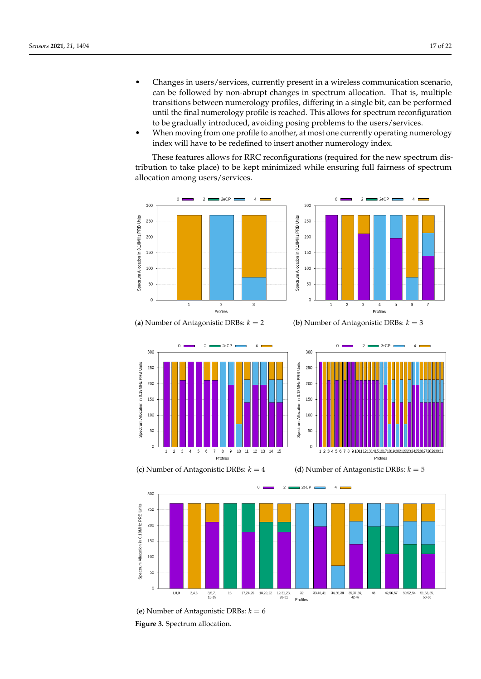- Changes in users/services, currently present in a wireless communication scenario, can be followed by non-abrupt changes in spectrum allocation. That is, multiple transitions between numerology profiles, differing in a single bit, can be performed until the final numerology profile is reached. This allows for spectrum reconfiguration to be gradually introduced, avoiding posing problems to the users/services.
- When moving from one profile to another, at most one currently operating numerology index will have to be redefined to insert another numerology index.

These features allows for RRC reconfigurations (required for the new spectrum distribution to take place) to be kept minimized while ensuring full fairness of spectrum allocation among users/services.

<span id="page-16-0"></span>

(**a**) Number of Antagonistic DRBs: *k* = 2 (**b**) Number of Antagonistic DRBs: *k* = 3

 $\overline{2}$ 

 $20CP$ 

 $\lambda$ 

 $\Omega$ 

 $300$ 

250

200

150

100

50

 $\overline{0}$ 



(**c**) Number of Antagonistic DRBs: *k* = 4 (**d**) Number of Antagonistic DRBs: *k* = 5



1 2 3 4 5 6 7 8 9 1011 1213141516171819202122232425262728293031

Profiles



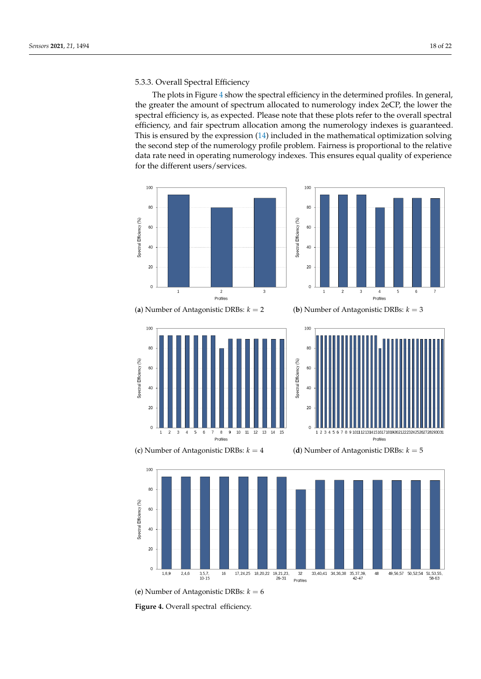## 5.3.3. Overall Spectral Efficiency

The plots in Figure [4](#page-17-0) show the spectral efficiency in the determined profiles. In general, the greater the amount of spectrum allocated to numerology index 2eCP, the lower the spectral efficiency is, as expected. Please note that these plots refer to the overall spectral efficiency, and fair spectrum allocation among the numerology indexes is guaranteed. This is ensured by the expression [\(14\)](#page-12-2) included in the mathematical optimization solving the second step of the numerology profile problem. Fairness is proportional to the relative data rate need in operating numerology indexes. This ensures equal quality of experience for the different users/services.

<span id="page-17-0"></span>

Figure 4. Overall spectral efficiency.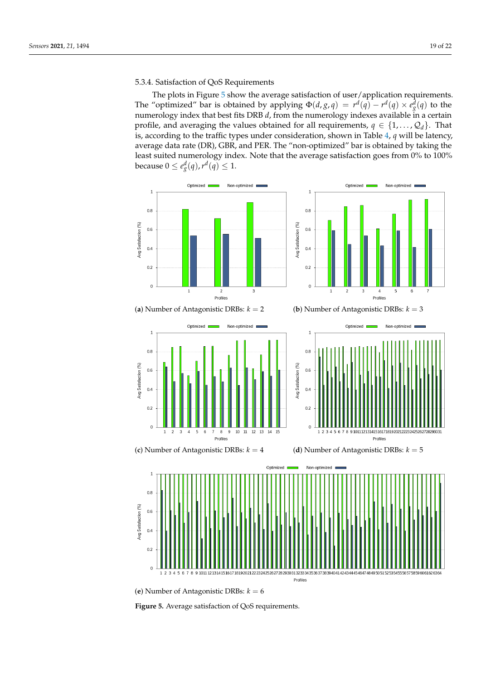# 5.3.4. Satisfaction of QoS Requirements

The plots in Figure [5](#page-18-0) show the average satisfaction of user/application requirements. The "optimized" bar is obtained by applying  $\Phi(d,g,q) = r^d(q) - r^d(q) \times e_g^d(q)$  to the numerology index that best fits DRB *d*, from the numerology indexes available in a certain profile, and averaging the values obtained for all requirements,  $q \in \{1, \ldots, Q_d\}$ . That is, according to the traffic types under consideration, shown in Table [4,](#page-7-0) *q* will be latency, average data rate (DR), GBR, and PER. The "non-optimized" bar is obtained by taking the least suited numerology index. Note that the average satisfaction goes from 0% to 100% because  $0\leq e_{g}^{d}(q)$ ,  $r^{d}(q)\leq 1$ .

<span id="page-18-0"></span>

<sup>(</sup>**e**) Number of Antagonistic DRBs: *k* = 6

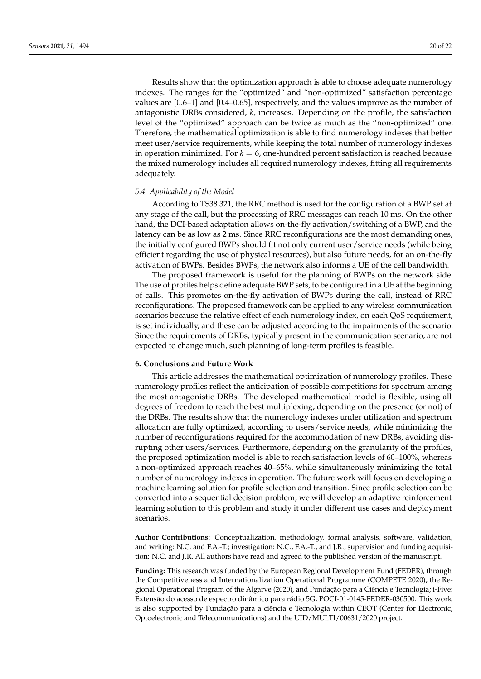Results show that the optimization approach is able to choose adequate numerology indexes. The ranges for the "optimized" and "non-optimized" satisfaction percentage values are [0.6–1] and [0.4–0.65], respectively, and the values improve as the number of antagonistic DRBs considered, *k*, increases. Depending on the profile, the satisfaction level of the "optimized" approach can be twice as much as the "non-optimized" one. Therefore, the mathematical optimization is able to find numerology indexes that better meet user/service requirements, while keeping the total number of numerology indexes in operation minimized. For  $k = 6$ , one-hundred percent satisfaction is reached because the mixed numerology includes all required numerology indexes, fitting all requirements adequately.

### *5.4. Applicability of the Model*

According to TS38.321, the RRC method is used for the configuration of a BWP set at any stage of the call, but the processing of RRC messages can reach 10 ms. On the other hand, the DCI-based adaptation allows on-the-fly activation/switching of a BWP, and the latency can be as low as 2 ms. Since RRC reconfigurations are the most demanding ones, the initially configured BWPs should fit not only current user/service needs (while being efficient regarding the use of physical resources), but also future needs, for an on-the-fly activation of BWPs. Besides BWPs, the network also informs a UE of the cell bandwidth.

The proposed framework is useful for the planning of BWPs on the network side. The use of profiles helps define adequate BWP sets, to be configured in a UE at the beginning of calls. This promotes on-the-fly activation of BWPs during the call, instead of RRC reconfigurations. The proposed framework can be applied to any wireless communication scenarios because the relative effect of each numerology index, on each QoS requirement, is set individually, and these can be adjusted according to the impairments of the scenario. Since the requirements of DRBs, typically present in the communication scenario, are not expected to change much, such planning of long-term profiles is feasible.

#### <span id="page-19-0"></span>**6. Conclusions and Future Work**

This article addresses the mathematical optimization of numerology profiles. These numerology profiles reflect the anticipation of possible competitions for spectrum among the most antagonistic DRBs. The developed mathematical model is flexible, using all degrees of freedom to reach the best multiplexing, depending on the presence (or not) of the DRBs. The results show that the numerology indexes under utilization and spectrum allocation are fully optimized, according to users/service needs, while minimizing the number of reconfigurations required for the accommodation of new DRBs, avoiding disrupting other users/services. Furthermore, depending on the granularity of the profiles, the proposed optimization model is able to reach satisfaction levels of 60–100%, whereas a non-optimized approach reaches 40–65%, while simultaneously minimizing the total number of numerology indexes in operation. The future work will focus on developing a machine learning solution for profile selection and transition. Since profile selection can be converted into a sequential decision problem, we will develop an adaptive reinforcement learning solution to this problem and study it under different use cases and deployment scenarios.

**Author Contributions:** Conceptualization, methodology, formal analysis, software, validation, and writing: N.C. and F.A.-T.; investigation: N.C., F.A.-T., and J.R.; supervision and funding acquisition: N.C. and J.R. All authors have read and agreed to the published version of the manuscript.

**Funding:** This research was funded by the European Regional Development Fund (FEDER), through the Competitiveness and Internationalization Operational Programme (COMPETE 2020), the Regional Operational Program of the Algarve (2020), and Fundação para a Ciência e Tecnologia; i-Five: Extensão do acesso de espectro dinâmico para rádio 5G, POCI-01-0145-FEDER-030500. This work is also supported by Fundação para a ciência e Tecnologia within CEOT (Center for Electronic, Optoelectronic and Telecommunications) and the UID/MULTI/00631/2020 project.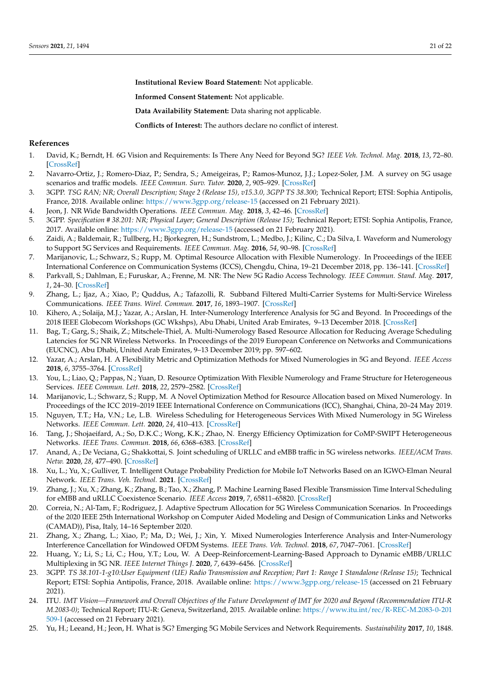**Institutional Review Board Statement:** Not applicable.

**Informed Consent Statement:** Not applicable.

**Data Availability Statement:** Data sharing not applicable.

**Conflicts of Interest:** The authors declare no conflict of interest.

### **References**

- <span id="page-20-0"></span>1. David, K.; Berndt, H. 6G Vision and Requirements: Is There Any Need for Beyond 5G? *IEEE Veh. Technol. Mag.* **2018**, *13*, 72–80. [\[CrossRef\]](http://doi.org/10.1109/MVT.2018.2848498)
- <span id="page-20-1"></span>2. Navarro-Ortiz, J.; Romero-Diaz, P.; Sendra, S.; Ameigeiras, P.; Ramos-Munoz, J.J.; Lopez-Soler, J.M. A survey on 5G usage scenarios and traffic models. *IEEE Commun. Surv. Tutor.* **2020**, *2*, 905–929. [\[CrossRef\]](http://dx.doi.org/10.1109/COMST.2020.2971781)
- <span id="page-20-2"></span>3. 3GPP. *TSG RAN; NR; Overall Description; Stage 2 (Release 15), v15.3.0, 3GPP TS 38.300*; Technical Report; ETSI: Sophia Antipolis, France, 2018. Available online: <https://www.3gpp.org/release-15> (accessed on 21 February 2021).
- <span id="page-20-3"></span>4. Jeon, J. NR Wide Bandwidth Operations. *IEEE Commun. Mag.* **2018**, *3*, 42–46. [\[CrossRef\]](http://dx.doi.org/10.1109/MCOM.2018.1700736)
- <span id="page-20-4"></span>5. 3GPP. *Specification # 38.201: NR; Physical Layer; General Description (Release 15)*; Technical Report; ETSI: Sophia Antipolis, France, 2017. Available online: <https://www.3gpp.org/release-15> (accessed on 21 February 2021).
- <span id="page-20-5"></span>6. Zaidi, A.; Baldemair, R.; Tullberg, H.; Bjorkegren, H.; Sundstrom, L.; Medbo, J.; Kilinc, C.; Da Silva, I. Waveform and Numerology to Support 5G Services and Requirements. *IEEE Commun. Mag.* **2016**, *54*, 90–98. [\[CrossRef\]](http://dx.doi.org/10.1109/MCOM.2016.1600336CM)
- <span id="page-20-6"></span>7. Marijanovic, L.; Schwarz, S.; Rupp, M. Optimal Resource Allocation with Flexible Numerology. In Proceedings of the IEEE International Conference on Communication Systems (ICCS), Chengdu, China, 19–21 December 2018, pp. 136–141. [\[CrossRef\]](http://dx.doi.org/10.1109/ICCS.2018.8689253)
- <span id="page-20-7"></span>8. Parkvall, S.; Dahlman, E.; Furuskar, A.; Frenne, M. NR: The New 5G Radio Access Technology. *IEEE Commun. Stand. Mag.* **2017**, *1*, 24–30. [\[CrossRef\]](http://dx.doi.org/10.1109/MCOMSTD.2017.1700042)
- <span id="page-20-8"></span>9. Zhang, L.; Ijaz, A.; Xiao, P.; Quddus, A.; Tafazolli, R. Subband Filtered Multi-Carrier Systems for Multi-Service Wireless Communications. *IEEE Trans. Wirel. Commun.* **2017**, *16*, 1893–1907. [\[CrossRef\]](http://dx.doi.org/10.1109/TWC.2017.2656904)
- <span id="page-20-9"></span>10. Kihero, A.; Solaija, M.J.; Yazar, A.; Arslan, H. Inter-Numerology Interference Analysis for 5G and Beyond. In Proceedings of the 2018 IEEE Globecom Workshops (GC Wkshps), Abu Dhabi, United Arab Emirates, 9–13 December 2018. [\[CrossRef\]](http://dx.doi.org/10.1109/GLOCOMW.2018.8644394)
- <span id="page-20-10"></span>11. Bag, T.; Garg, S.; Shaik, Z.; Mitschele-Thiel, A. Multi-Numerology Based Resource Allocation for Reducing Average Scheduling Latencies for 5G NR Wireless Networks. In Proceedings of the 2019 European Conference on Networks and Communications (EUCNC), Abu Dhabi, United Arab Emirates, 9–13 December 2019; pp. 597–602.
- <span id="page-20-11"></span>12. Yazar, A.; Arslan, H. A Flexibility Metric and Optimization Methods for Mixed Numerologies in 5G and Beyond. *IEEE Access* **2018**, *6*, 3755–3764. [\[CrossRef\]](http://dx.doi.org/10.1109/ACCESS.2018.2795752)
- <span id="page-20-12"></span>13. You, L.; Liao, Q.; Pappas, N.; Yuan, D. Resource Optimization With Flexible Numerology and Frame Structure for Heterogeneous Services. *IEEE Commun. Lett.* **2018**, *22*, 2579–2582. [\[CrossRef\]](http://dx.doi.org/10.1109/LCOMM.2018.2865314)
- <span id="page-20-13"></span>14. Marijanovic, L.; Schwarz, S.; Rupp, M. A Novel Optimization Method for Resource Allocation based on Mixed Numerology. In Proceedings of the ICC 2019–2019 IEEE International Conference on Communications (ICC), Shanghai, China, 20–24 May 2019.
- <span id="page-20-14"></span>15. Nguyen, T.T.; Ha, V.N.; Le, L.B. Wireless Scheduling for Heterogeneous Services With Mixed Numerology in 5G Wireless Networks. *IEEE Commun. Lett.* **2020**, *24*, 410–413. [\[CrossRef\]](http://dx.doi.org/10.1109/LCOMM.2019.2951375)
- <span id="page-20-15"></span>16. Tang, J.; Shojaeifard, A.; So, D.K.C.; Wong, K.K.; Zhao, N. Energy Efficiency Optimization for CoMP-SWIPT Heterogeneous Networks. *IEEE Trans. Commun.* **2018**, *66*, 6368–6383. [\[CrossRef\]](http://dx.doi.org/10.1109/TCOMM.2018.2866852)
- <span id="page-20-16"></span>17. Anand, A.; De Veciana, G.; Shakkottai, S. Joint scheduling of URLLC and eMBB traffic in 5G wireless networks. *IEEE/ACM Trans. Netw.* **2020**, *28*, 477–490. [\[CrossRef\]](http://dx.doi.org/10.1109/TNET.2020.2968373)
- <span id="page-20-17"></span>18. Xu, L.; Yu, X.; Gulliver, T. Intelligent Outage Probability Prediction for Mobile IoT Networks Based on an IGWO-Elman Neural Network. *IEEE Trans. Veh. Technol.* **2021**. [\[CrossRef\]](http://dx.doi.org/10.1109/TVT.2021.3051966)
- <span id="page-20-18"></span>19. Zhang, J.; Xu, X.; Zhang, K.; Zhang, B.; Tao, X.; Zhang, P. Machine Learning Based Flexible Transmission Time Interval Scheduling for eMBB and uRLLC Coexistence Scenario. *IEEE Access* **2019**, *7*, 65811–65820. [\[CrossRef\]](http://dx.doi.org/10.1109/ACCESS.2019.2917751)
- <span id="page-20-19"></span>20. Correia, N.; Al-Tam, F.; Rodriguez, J. Adaptive Spectrum Allocation for 5G Wireless Communication Scenarios. In Proceedings of the 2020 IEEE 25th International Workshop on Computer Aided Modeling and Design of Communication Links and Networks (CAMAD)), Pisa, Italy, 14–16 September 2020.
- <span id="page-20-20"></span>21. Zhang, X.; Zhang, L.; Xiao, P.; Ma, D.; Wei, J.; Xin, Y. Mixed Numerologies Interference Analysis and Inter-Numerology Interference Cancellation for Windowed OFDM Systems. *IEEE Trans. Veh. Technol.* **2018**, *67*, 7047–7061. [\[CrossRef\]](http://dx.doi.org/10.1109/TVT.2018.2826047)
- <span id="page-20-21"></span>22. Huang, Y.; Li, S.; Li, C.; Hou, Y.T.; Lou, W. A Deep-Reinforcement-Learning-Based Approach to Dynamic eMBB/URLLC Multiplexing in 5G NR. *IEEE Internet Things J.* **2020**, *7*, 6439–6456. [\[CrossRef\]](http://dx.doi.org/10.1109/JIOT.2020.2978692)
- <span id="page-20-22"></span>23. 3GPP. *TS 38.101-1-g10:User Equipment (UE) Radio Transmission and Reception; Part 1: Range 1 Standalone (Release 15)*; Technical Report; ETSI: Sophia Antipolis, France, 2018. Available online: <https://www.3gpp.org/release-15> (accessed on 21 February 2021).
- <span id="page-20-23"></span>24. ITU. *IMT Vision—Framework and Overall Objectives of the Future Development of IMT for 2020 and Beyond (Recommendation ITU-R M.2083-0)*; Technical Report; ITU-R: Geneva, Switzerland, 2015. Available online: [https://www.itu.int/rec/R-REC-M.2083-0-201](https://www.itu.int/rec/R-REC-M.2083-0-201509-I) [509-I](https://www.itu.int/rec/R-REC-M.2083-0-201509-I) (accessed on 21 February 2021).
- <span id="page-20-24"></span>25. Yu, H.; Leeand, H.; Jeon, H. What is 5G? Emerging 5G Mobile Services and Network Requirements. *Sustainability* **2017**, *10*, 1848.